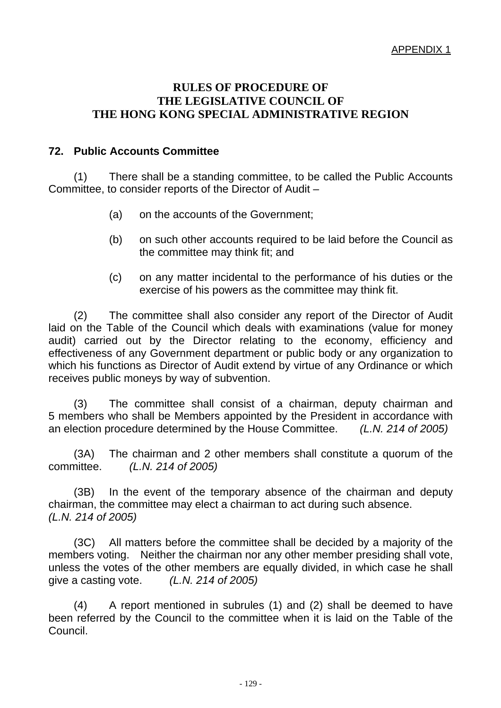## **RULES OF PROCEDURE OF THE LEGISLATIVE COUNCIL OF THE HONG KONG SPECIAL ADMINISTRATIVE REGION**

## **72. Public Accounts Committee**

 (1) There shall be a standing committee, to be called the Public Accounts Committee, to consider reports of the Director of Audit –

- (a) on the accounts of the Government;
- (b) on such other accounts required to be laid before the Council as the committee may think fit; and
- (c) on any matter incidental to the performance of his duties or the exercise of his powers as the committee may think fit.

 (2) The committee shall also consider any report of the Director of Audit laid on the Table of the Council which deals with examinations (value for money audit) carried out by the Director relating to the economy, efficiency and effectiveness of any Government department or public body or any organization to which his functions as Director of Audit extend by virtue of any Ordinance or which receives public moneys by way of subvention.

 (3) The committee shall consist of a chairman, deputy chairman and 5 members who shall be Members appointed by the President in accordance with an election procedure determined by the House Committee. *(L.N. 214 of 2005)* 

 (3A) The chairman and 2 other members shall constitute a quorum of the committee. *(L.N. 214 of 2005)* 

 (3B) In the event of the temporary absence of the chairman and deputy chairman, the committee may elect a chairman to act during such absence. *(L.N. 214 of 2005)*

 (3C) All matters before the committee shall be decided by a majority of the members voting. Neither the chairman nor any other member presiding shall vote, unless the votes of the other members are equally divided, in which case he shall give a casting vote. *(L.N. 214 of 2005)*

 (4) A report mentioned in subrules (1) and (2) shall be deemed to have been referred by the Council to the committee when it is laid on the Table of the Council.